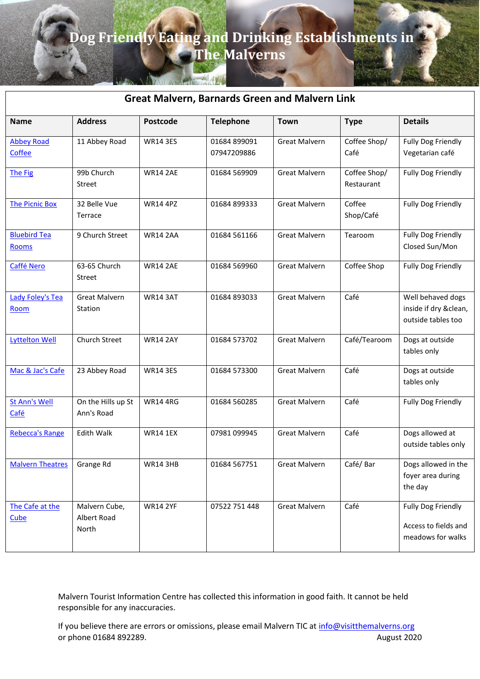# **Dog Friendly Eating and Drinking Establishments in**

**The Malverns**

| AND THE TANK IT FINISH AVAILABLE<br><b>Great Malvern, Barnards Green and Malvern Link</b> |                                       |                 |                             |                      |                            |                                                                        |  |
|-------------------------------------------------------------------------------------------|---------------------------------------|-----------------|-----------------------------|----------------------|----------------------------|------------------------------------------------------------------------|--|
| <b>Name</b>                                                                               | <b>Address</b>                        | <b>Postcode</b> | <b>Telephone</b>            | <b>Town</b>          | <b>Type</b>                | <b>Details</b>                                                         |  |
| <b>Abbey Road</b><br>Coffee                                                               | 11 Abbey Road                         | <b>WR14 3ES</b> | 01684 899091<br>07947209886 | <b>Great Malvern</b> | Coffee Shop/<br>Café       | <b>Fully Dog Friendly</b><br>Vegetarian café                           |  |
| The Fig                                                                                   | 99b Church<br><b>Street</b>           | <b>WR14 2AE</b> | 01684 569909                | <b>Great Malvern</b> | Coffee Shop/<br>Restaurant | <b>Fully Dog Friendly</b>                                              |  |
| <b>The Picnic Box</b>                                                                     | 32 Belle Vue<br>Terrace               | <b>WR14 4PZ</b> | 01684 899333                | <b>Great Malvern</b> | Coffee<br>Shop/Café        | <b>Fully Dog Friendly</b>                                              |  |
| <b>Bluebird Tea</b><br>Rooms                                                              | 9 Church Street                       | <b>WR14 2AA</b> | 01684 561166                | <b>Great Malvern</b> | Tearoom                    | <b>Fully Dog Friendly</b><br>Closed Sun/Mon                            |  |
| Caffé Nero                                                                                | 63-65 Church<br>Street                | <b>WR14 2AE</b> | 01684 569960                | <b>Great Malvern</b> | Coffee Shop                | <b>Fully Dog Friendly</b>                                              |  |
| <b>Lady Foley's Tea</b><br>Room                                                           | <b>Great Malvern</b><br>Station       | <b>WR14 3AT</b> | 01684 893033                | <b>Great Malvern</b> | Café                       | Well behaved dogs<br>inside if dry &clean,<br>outside tables too       |  |
| <b>Lyttelton Well</b>                                                                     | Church Street                         | <b>WR14 2AY</b> | 01684 573702                | <b>Great Malvern</b> | Café/Tearoom               | Dogs at outside<br>tables only                                         |  |
| Mac & Jac's Cafe                                                                          | 23 Abbey Road                         | <b>WR14 3ES</b> | 01684 573300                | <b>Great Malvern</b> | Café                       | Dogs at outside<br>tables only                                         |  |
| <b>St Ann's Well</b><br>Café                                                              | On the Hills up St<br>Ann's Road      | <b>WR14 4RG</b> | 01684 560285                | <b>Great Malvern</b> | Café                       | <b>Fully Dog Friendly</b>                                              |  |
| <b>Rebecca's Range</b>                                                                    | Edith Walk                            | <b>WR14 1EX</b> | 07981 099945                | <b>Great Malvern</b> | Café                       | Dogs allowed at<br>outside tables only                                 |  |
| <b>Malvern Theatres</b>                                                                   | Grange Rd                             | <b>WR14 3HB</b> | 01684 567751                | <b>Great Malvern</b> | Café/Bar                   | Dogs allowed in the<br>foyer area during<br>the day                    |  |
| The Cafe at the<br>Cube                                                                   | Malvern Cube,<br>Albert Road<br>North | <b>WR14 2YF</b> | 07522 751 448               | <b>Great Malvern</b> | Café                       | <b>Fully Dog Friendly</b><br>Access to fields and<br>meadows for walks |  |

Malvern Tourist Information Centre has collected this information in good faith. It cannot be held responsible for any inaccuracies.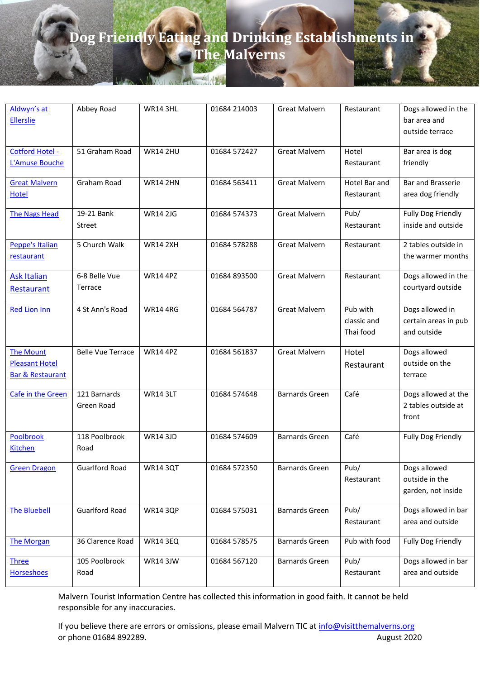| Aldwyn's at<br><b>Ellerslie</b>                                          | Abbey Road                 | <b>WR14 3HL</b> | 01684 214003 | <b>Great Malvern</b>  | Restaurant                           | Dogs allowed in the<br>bar area and<br>outside terrace |
|--------------------------------------------------------------------------|----------------------------|-----------------|--------------|-----------------------|--------------------------------------|--------------------------------------------------------|
| Cotford Hotel -<br>L'Amuse Bouche                                        | 51 Graham Road             | <b>WR14 2HU</b> | 01684 572427 | <b>Great Malvern</b>  | Hotel<br>Restaurant                  | Bar area is dog<br>friendly                            |
| <b>Great Malvern</b><br><b>Hotel</b>                                     | Graham Road                | <b>WR14 2HN</b> | 01684 563411 | <b>Great Malvern</b>  | Hotel Bar and<br>Restaurant          | <b>Bar and Brasserie</b><br>area dog friendly          |
| <b>The Nags Head</b>                                                     | 19-21 Bank<br>Street       | <b>WR14 2JG</b> | 01684 574373 | <b>Great Malvern</b>  | Pub/<br>Restaurant                   | Fully Dog Friendly<br>inside and outside               |
| Peppe's Italian<br>restaurant                                            | 5 Church Walk              | <b>WR14 2XH</b> | 01684 578288 | <b>Great Malvern</b>  | Restaurant                           | 2 tables outside in<br>the warmer months               |
| <b>Ask Italian</b><br>Restaurant                                         | 6-8 Belle Vue<br>Terrace   | <b>WR14 4PZ</b> | 01684 893500 | <b>Great Malvern</b>  | Restaurant                           | Dogs allowed in the<br>courtyard outside               |
| <b>Red Lion Inn</b>                                                      | 4 St Ann's Road            | <b>WR14 4RG</b> | 01684 564787 | <b>Great Malvern</b>  | Pub with<br>classic and<br>Thai food | Dogs allowed in<br>certain areas in pub<br>and outside |
| <b>The Mount</b><br><b>Pleasant Hotel</b><br><b>Bar &amp; Restaurant</b> | <b>Belle Vue Terrace</b>   | <b>WR14 4PZ</b> | 01684 561837 | <b>Great Malvern</b>  | Hotel<br>Restaurant                  | Dogs allowed<br>outside on the<br>terrace              |
| Cafe in the Green                                                        | 121 Barnards<br>Green Road | <b>WR14 3LT</b> | 01684 574648 | <b>Barnards Green</b> | Café                                 | Dogs allowed at the<br>2 tables outside at<br>front    |
| Poolbrook<br><b>Kitchen</b>                                              | 118 Poolbrook<br>Road      | <b>WR14 3JD</b> | 01684 574609 | <b>Barnards Green</b> | Café                                 | Fully Dog Friendly                                     |
| <b>Green Dragon</b>                                                      | <b>Guarlford Road</b>      | <b>WR14 3QT</b> | 01684 572350 | <b>Barnards Green</b> | Pub/<br>Restaurant                   | Dogs allowed<br>outside in the<br>garden, not inside   |
| <b>The Bluebell</b>                                                      | <b>Guarlford Road</b>      | <b>WR14 3QP</b> | 01684 575031 | <b>Barnards Green</b> | Pub/<br>Restaurant                   | Dogs allowed in bar<br>area and outside                |
| <b>The Morgan</b>                                                        | 36 Clarence Road           | <b>WR14 3EQ</b> | 01684 578575 | <b>Barnards Green</b> | Pub with food                        | Fully Dog Friendly                                     |
| <b>Three</b><br>Horseshoes                                               | 105 Poolbrook<br>Road      | <b>WR14 3JW</b> | 01684 567120 | <b>Barnards Green</b> | Pub/<br>Restaurant                   | Dogs allowed in bar<br>area and outside                |

Malvern Tourist Information Centre has collected this information in good faith. It cannot be held responsible for any inaccuracies.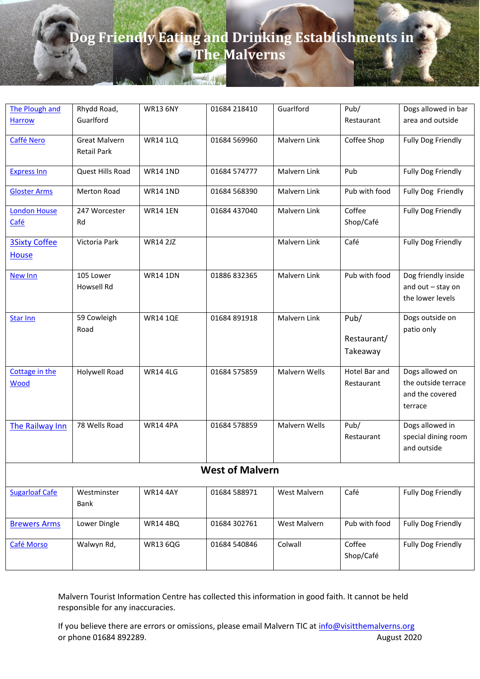| The Plough and                       | Rhydd Road,                                | <b>WR13 6NY</b> | 01684 218410 | Guarlford     | Pub/                            | Dogs allowed in bar                                                  |  |  |  |
|--------------------------------------|--------------------------------------------|-----------------|--------------|---------------|---------------------------------|----------------------------------------------------------------------|--|--|--|
| <b>Harrow</b>                        | Guarlford                                  |                 |              |               | Restaurant                      | area and outside                                                     |  |  |  |
| Caffé Nero                           | <b>Great Malvern</b><br><b>Retail Park</b> | <b>WR14 1LQ</b> | 01684 569960 | Malvern Link  | Coffee Shop                     | <b>Fully Dog Friendly</b>                                            |  |  |  |
| <b>Express Inn</b>                   | Quest Hills Road                           | <b>WR14 1ND</b> | 01684 574777 | Malvern Link  | Pub                             | <b>Fully Dog Friendly</b>                                            |  |  |  |
| <b>Gloster Arms</b>                  | <b>Merton Road</b>                         | <b>WR14 1ND</b> | 01684 568390 | Malvern Link  | Pub with food                   | Fully Dog Friendly                                                   |  |  |  |
| <b>London House</b><br>Café          | 247 Worcester<br>Rd                        | <b>WR14 1EN</b> | 01684 437040 | Malvern Link  | Coffee<br>Shop/Café             | Fully Dog Friendly                                                   |  |  |  |
| <b>3Sixty Coffee</b><br><b>House</b> | Victoria Park                              | <b>WR14 2JZ</b> |              | Malvern Link  | Café                            | <b>Fully Dog Friendly</b>                                            |  |  |  |
| New Inn                              | 105 Lower<br>Howsell Rd                    | <b>WR14 1DN</b> | 01886 832365 | Malvern Link  | Pub with food                   | Dog friendly inside<br>and out - stay on<br>the lower levels         |  |  |  |
| <b>Star Inn</b>                      | 59 Cowleigh<br>Road                        | <b>WR14 1QE</b> | 01684 891918 | Malvern Link  | Pub/<br>Restaurant/<br>Takeaway | Dogs outside on<br>patio only                                        |  |  |  |
| Cottage in the<br><b>Wood</b>        | Holywell Road                              | <b>WR14 4LG</b> | 01684 575859 | Malvern Wells | Hotel Bar and<br>Restaurant     | Dogs allowed on<br>the outside terrace<br>and the covered<br>terrace |  |  |  |
| The Railway Inn                      | 78 Wells Road                              | <b>WR14 4PA</b> | 01684 578859 | Malvern Wells | Pub/<br>Restaurant              | Dogs allowed in<br>special dining room<br>and outside                |  |  |  |
| <b>West of Malvern</b>               |                                            |                 |              |               |                                 |                                                                      |  |  |  |
| <b>Sugarloaf Cafe</b>                | Westminster<br>Bank                        | <b>WR14 4AY</b> | 01684 588971 | West Malvern  | Café                            | <b>Fully Dog Friendly</b>                                            |  |  |  |
| <b>Brewers Arms</b>                  | Lower Dingle                               | <b>WR14 4BQ</b> | 01684 302761 | West Malvern  | Pub with food                   | <b>Fully Dog Friendly</b>                                            |  |  |  |
| Café Morso                           | Walwyn Rd,                                 | <b>WR13 6QG</b> | 01684 540846 | Colwall       | Coffee<br>Shop/Café             | <b>Fully Dog Friendly</b>                                            |  |  |  |

Malvern Tourist Information Centre has collected this information in good faith. It cannot be held responsible for any inaccuracies.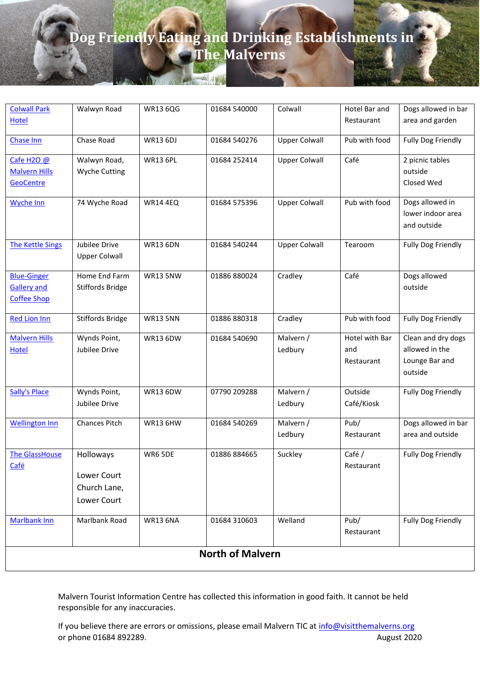| <b>Colwall Park</b>     | Walwyn Road             | <b>WR13 6QG</b> | 01684 540000            | Colwall              | Hotel Bar and  | Dogs allowed in bar       |  |  |
|-------------------------|-------------------------|-----------------|-------------------------|----------------------|----------------|---------------------------|--|--|
| <b>Hotel</b>            |                         |                 |                         |                      | Restaurant     | area and garden           |  |  |
| <b>Chase Inn</b>        | Chase Road              | <b>WR13 6DJ</b> | 01684 540276            | <b>Upper Colwall</b> | Pub with food  | <b>Fully Dog Friendly</b> |  |  |
| Cafe H2O @              | Walwyn Road,            | <b>WR13 6PL</b> | 01684 252414            | <b>Upper Colwall</b> | Café           | 2 picnic tables           |  |  |
| <b>Malvern Hills</b>    | <b>Wyche Cutting</b>    |                 |                         |                      |                | outside                   |  |  |
| GeoCentre               |                         |                 |                         |                      |                | Closed Wed                |  |  |
| Wyche Inn               | 74 Wyche Road           | <b>WR14 4EQ</b> | 01684 575396            | <b>Upper Colwall</b> | Pub with food  | Dogs allowed in           |  |  |
|                         |                         |                 |                         |                      |                | lower indoor area         |  |  |
|                         |                         |                 |                         |                      |                | and outside               |  |  |
| <b>The Kettle Sings</b> | Jubilee Drive           | <b>WR13 6DN</b> | 01684 540244            | <b>Upper Colwall</b> | Tearoom        | <b>Fully Dog Friendly</b> |  |  |
|                         | <b>Upper Colwall</b>    |                 |                         |                      |                |                           |  |  |
| <b>Blue-Ginger</b>      | Home End Farm           | <b>WR13 5NW</b> | 01886 880024            | Cradley              | Café           | Dogs allowed              |  |  |
| <b>Gallery and</b>      | <b>Stiffords Bridge</b> |                 |                         |                      |                | outside                   |  |  |
| <b>Coffee Shop</b>      |                         |                 |                         |                      |                |                           |  |  |
| <b>Red Lion Inn</b>     | <b>Stiffords Bridge</b> | <b>WR13 5NN</b> | 01886 880318            | Cradley              | Pub with food  | <b>Fully Dog Friendly</b> |  |  |
| <b>Malvern Hills</b>    | Wynds Point,            | <b>WR13 6DW</b> | 01684 540690            | Malvern /            | Hotel with Bar | Clean and dry dogs        |  |  |
| <b>Hotel</b>            | Jubilee Drive           |                 |                         | Ledbury              | and            | allowed in the            |  |  |
|                         |                         |                 |                         |                      | Restaurant     | Lounge Bar and<br>outside |  |  |
|                         |                         |                 |                         |                      |                |                           |  |  |
| Sally's Place           | Wynds Point,            | <b>WR13 6DW</b> | 07790 209288            | Malvern /            | Outside        | <b>Fully Dog Friendly</b> |  |  |
|                         | Jubilee Drive           |                 |                         | Ledbury              | Café/Kiosk     |                           |  |  |
| <b>Wellington Inn</b>   | <b>Chances Pitch</b>    | <b>WR13 6HW</b> | 01684 540269            | Malvern /            | Pub/           | Dogs allowed in bar       |  |  |
|                         |                         |                 |                         | Ledbury              | Restaurant     | area and outside          |  |  |
| <b>The GlassHouse</b>   | Holloways               | WR6 5DE         | 01886 884665            | Suckley              | Café /         | <b>Fully Dog Friendly</b> |  |  |
| Café                    | Lower Court             |                 |                         |                      | Restaurant     |                           |  |  |
|                         | Church Lane,            |                 |                         |                      |                |                           |  |  |
|                         | Lower Court             |                 |                         |                      |                |                           |  |  |
|                         |                         |                 |                         |                      |                |                           |  |  |
| <b>Marlbank Inn</b>     | Marlbank Road           | <b>WR13 6NA</b> | 01684 310603            | Welland              | Pub/           | <b>Fully Dog Friendly</b> |  |  |
|                         |                         |                 |                         |                      | Restaurant     |                           |  |  |
|                         |                         |                 | <b>North of Malvern</b> |                      |                |                           |  |  |
|                         |                         |                 |                         |                      |                |                           |  |  |

Malvern Tourist Information Centre has collected this information in good faith. It cannot be held responsible for any inaccuracies.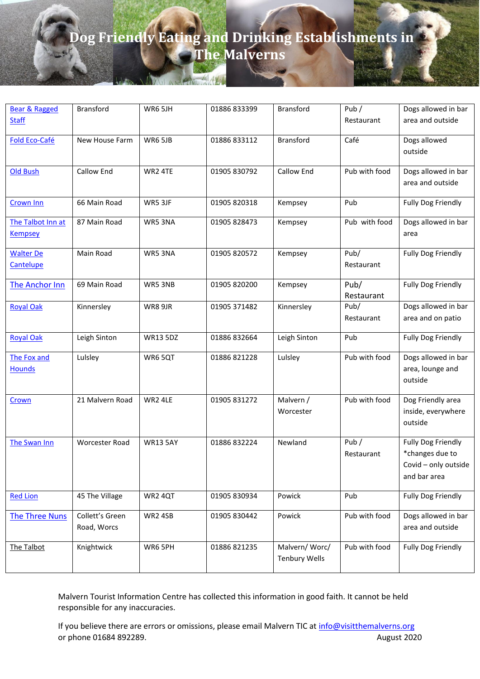| <b>Bear &amp; Ragged</b>            | <b>Bransford</b>               | WR6 5JH         | 01886 833399 | Bransford                             | Pub /                 | Dogs allowed in bar                                                                  |
|-------------------------------------|--------------------------------|-----------------|--------------|---------------------------------------|-----------------------|--------------------------------------------------------------------------------------|
| <b>Staff</b>                        |                                |                 |              |                                       | Restaurant            | area and outside                                                                     |
| Fold Eco-Café                       | New House Farm                 | WR6 5JB         | 01886 833112 | <b>Bransford</b>                      | Café                  | Dogs allowed<br>outside                                                              |
| <b>Old Bush</b>                     | Callow End                     | WR2 4TE         | 01905 830792 | Callow End                            | Pub with food         | Dogs allowed in bar<br>area and outside                                              |
| <b>Crown Inn</b>                    | 66 Main Road                   | WR5 3JF         | 01905 820318 | Kempsey                               | Pub                   | Fully Dog Friendly                                                                   |
| The Talbot Inn at<br><b>Kempsey</b> | 87 Main Road                   | WR5 3NA         | 01905 828473 | Kempsey                               | Pub with food         | Dogs allowed in bar<br>area                                                          |
| <b>Walter De</b><br>Cantelupe       | Main Road                      | WR53NA          | 01905 820572 | Kempsey                               | Pub/<br>Restaurant    | Fully Dog Friendly                                                                   |
| The Anchor Inn                      | 69 Main Road                   | WR5 3NB         | 01905 820200 | Kempsey                               | Pub/<br>Restaurant    | Fully Dog Friendly                                                                   |
| <b>Royal Oak</b>                    | Kinnersley                     | WR8 9JR         | 01905 371482 | Kinnersley                            | Pub/<br>Restaurant    | Dogs allowed in bar<br>area and on patio                                             |
| <b>Royal Oak</b>                    | Leigh Sinton                   | <b>WR13 5DZ</b> | 01886 832664 | Leigh Sinton                          | Pub                   | Fully Dog Friendly                                                                   |
| The Fox and<br><b>Hounds</b>        | Lulsley                        | WR65QT          | 01886 821228 | Lulsley                               | Pub with food         | Dogs allowed in bar<br>area, lounge and<br>outside                                   |
| Crown                               | 21 Malvern Road                | WR2 4LE         | 01905 831272 | Malvern /<br>Worcester                | Pub with food         | Dog Friendly area<br>inside, everywhere<br>outside                                   |
| The Swan Inn                        | <b>Worcester Road</b>          | <b>WR13 5AY</b> | 01886 832224 | Newland                               | Pub $/$<br>Restaurant | <b>Fully Dog Friendly</b><br>*changes due to<br>Covid - only outside<br>and bar area |
| <b>Red Lion</b>                     | 45 The Village                 | WR2 4QT         | 01905 830934 | Powick                                | Pub                   | Fully Dog Friendly                                                                   |
| <b>The Three Nuns</b>               | Collett's Green<br>Road, Worcs | WR2 4SB         | 01905 830442 | Powick                                | Pub with food         | Dogs allowed in bar<br>area and outside                                              |
| The Talbot                          | Knightwick                     | WR6 5PH         | 01886 821235 | Malvern/Worc/<br><b>Tenbury Wells</b> | Pub with food         | Fully Dog Friendly                                                                   |

Malvern Tourist Information Centre has collected this information in good faith. It cannot be held responsible for any inaccuracies.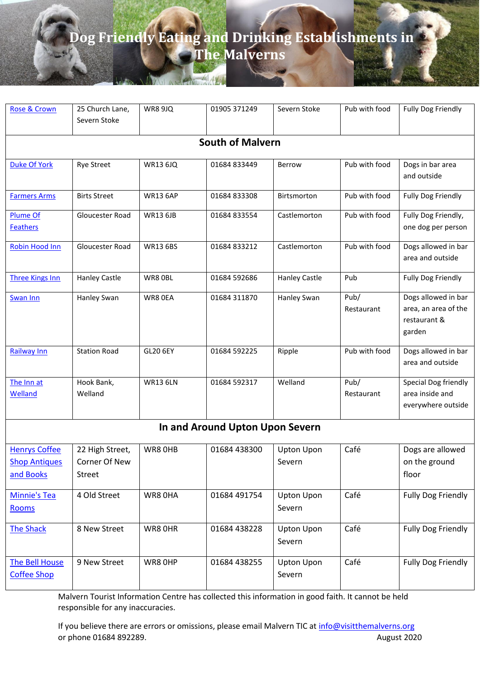| Rose & Crown                                              | 25 Church Lane,                            | <b>WR8 9JQ</b>  | 01905 371249                    | Severn Stoke                | Pub with food      | <b>Fully Dog Friendly</b>                                             |  |  |  |  |
|-----------------------------------------------------------|--------------------------------------------|-----------------|---------------------------------|-----------------------------|--------------------|-----------------------------------------------------------------------|--|--|--|--|
|                                                           | Severn Stoke                               |                 |                                 |                             |                    |                                                                       |  |  |  |  |
| <b>South of Malvern</b>                                   |                                            |                 |                                 |                             |                    |                                                                       |  |  |  |  |
| Duke Of York                                              | <b>Rye Street</b>                          | <b>WR13 6JQ</b> | 01684 833449                    | Berrow                      | Pub with food      | Dogs in bar area<br>and outside                                       |  |  |  |  |
| <b>Farmers Arms</b>                                       | <b>Birts Street</b>                        | <b>WR13 6AP</b> | 01684 833308                    | Birtsmorton                 | Pub with food      | <b>Fully Dog Friendly</b>                                             |  |  |  |  |
| <b>Plume Of</b><br><b>Feathers</b>                        | Gloucester Road                            | <b>WR13 6JB</b> | 01684 833554                    | Castlemorton                | Pub with food      | Fully Dog Friendly,<br>one dog per person                             |  |  |  |  |
| <b>Robin Hood Inn</b>                                     | Gloucester Road                            | <b>WR13 6BS</b> | 01684 833212                    | Castlemorton                | Pub with food      | Dogs allowed in bar<br>area and outside                               |  |  |  |  |
| <b>Three Kings Inn</b>                                    | <b>Hanley Castle</b>                       | WR8 OBL         | 01684 592686                    | <b>Hanley Castle</b>        | Pub                | <b>Fully Dog Friendly</b>                                             |  |  |  |  |
| <b>Swan Inn</b>                                           | Hanley Swan                                | WR8 OEA         | 01684 311870                    | Hanley Swan                 | Pub/<br>Restaurant | Dogs allowed in bar<br>area, an area of the<br>restaurant &<br>garden |  |  |  |  |
| <b>Railway Inn</b>                                        | <b>Station Road</b>                        | GL20 6EY        | 01684 592225                    | Ripple                      | Pub with food      | Dogs allowed in bar<br>area and outside                               |  |  |  |  |
| The Inn at<br>Welland                                     | Hook Bank,<br>Welland                      | <b>WR13 6LN</b> | 01684 592317                    | Welland                     | Pub/<br>Restaurant | Special Dog friendly<br>area inside and<br>everywhere outside         |  |  |  |  |
|                                                           |                                            |                 |                                 |                             |                    |                                                                       |  |  |  |  |
|                                                           |                                            |                 | In and Around Upton Upon Severn |                             |                    |                                                                       |  |  |  |  |
| <b>Henrys Coffee</b><br><b>Shop Antiques</b><br>and Books | 22 High Street,<br>Corner Of New<br>Street | WR8 OHB         | 01684 438300                    | <b>Upton Upon</b><br>Severn | Café               | Dogs are allowed<br>on the ground<br>floor                            |  |  |  |  |
| Minnie's Tea<br>Rooms                                     | 4 Old Street                               | WR8 OHA         | 01684 491754                    | <b>Upton Upon</b><br>Severn | Café               | Fully Dog Friendly                                                    |  |  |  |  |
| <b>The Shack</b>                                          | 8 New Street                               | WR8 OHR         | 01684 438228                    | <b>Upton Upon</b><br>Severn | Café               | Fully Dog Friendly                                                    |  |  |  |  |
| <b>The Bell House</b><br><b>Coffee Shop</b>               | 9 New Street                               | WR8 OHP         | 01684 438255                    | <b>Upton Upon</b><br>Severn | Café               | Fully Dog Friendly                                                    |  |  |  |  |

Malvern Tourist Information Centre has collected this information in good faith. It cannot be held responsible for any inaccuracies.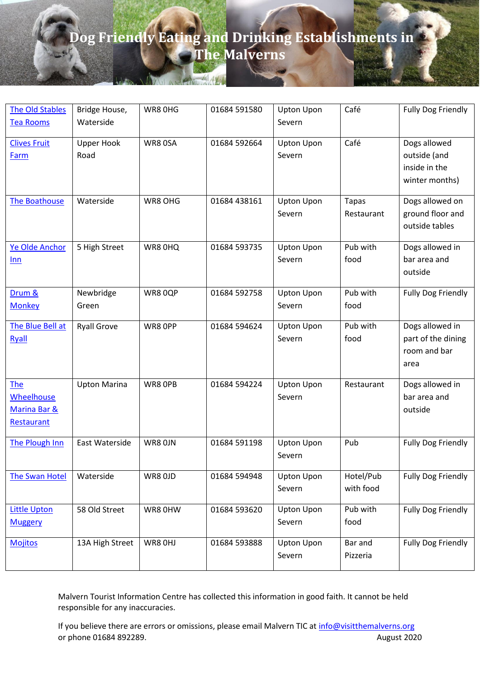| <b>The Old Stables</b>                                               | Bridge House,             | WR8 OHG | 01684 591580 | <b>Upton Upon</b>           | Café                       | <b>Fully Dog Friendly</b>                                       |
|----------------------------------------------------------------------|---------------------------|---------|--------------|-----------------------------|----------------------------|-----------------------------------------------------------------|
| <b>Tea Rooms</b>                                                     | Waterside                 |         |              | Severn                      |                            |                                                                 |
| <b>Clives Fruit</b><br>Farm                                          | <b>Upper Hook</b><br>Road | WR8 0SA | 01684 592664 | <b>Upton Upon</b><br>Severn | Café                       | Dogs allowed<br>outside (and<br>inside in the<br>winter months) |
| <b>The Boathouse</b>                                                 | Waterside                 | WR8 OHG | 01684 438161 | <b>Upton Upon</b><br>Severn | <b>Tapas</b><br>Restaurant | Dogs allowed on<br>ground floor and<br>outside tables           |
| Ye Olde Anchor<br>Inn                                                | 5 High Street             | WR8 0HQ | 01684 593735 | <b>Upton Upon</b><br>Severn | Pub with<br>food           | Dogs allowed in<br>bar area and<br>outside                      |
| Drum &<br><b>Monkey</b>                                              | Newbridge<br>Green        | WR80QP  | 01684 592758 | <b>Upton Upon</b><br>Severn | Pub with<br>food           | <b>Fully Dog Friendly</b>                                       |
| The Blue Bell at<br>Ryall                                            | <b>Ryall Grove</b>        | WR8 OPP | 01684 594624 | <b>Upton Upon</b><br>Severn | Pub with<br>food           | Dogs allowed in<br>part of the dining<br>room and bar<br>area   |
| <b>The</b><br><b>Wheelhouse</b><br>Marina Bar &<br><b>Restaurant</b> | <b>Upton Marina</b>       | WR8 OPB | 01684 594224 | <b>Upton Upon</b><br>Severn | Restaurant                 | Dogs allowed in<br>bar area and<br>outside                      |
| The Plough Inn                                                       | East Waterside            | WR8 OJN | 01684 591198 | <b>Upton Upon</b><br>Severn | Pub                        | Fully Dog Friendly                                              |
| <b>The Swan Hotel</b>                                                | Waterside                 | WR8 OJD | 01684 594948 | <b>Upton Upon</b><br>Severn | Hotel/Pub<br>with food     | <b>Fully Dog Friendly</b>                                       |
| <b>Little Upton</b><br><b>Muggery</b>                                | 58 Old Street             | WR8 OHW | 01684 593620 | <b>Upton Upon</b><br>Severn | Pub with<br>food           | <b>Fully Dog Friendly</b>                                       |
| <b>Mojitos</b>                                                       | 13A High Street           | WR8 OHJ | 01684 593888 | <b>Upton Upon</b><br>Severn | Bar and<br>Pizzeria        | <b>Fully Dog Friendly</b>                                       |

Malvern Tourist Information Centre has collected this information in good faith. It cannot be held responsible for any inaccuracies.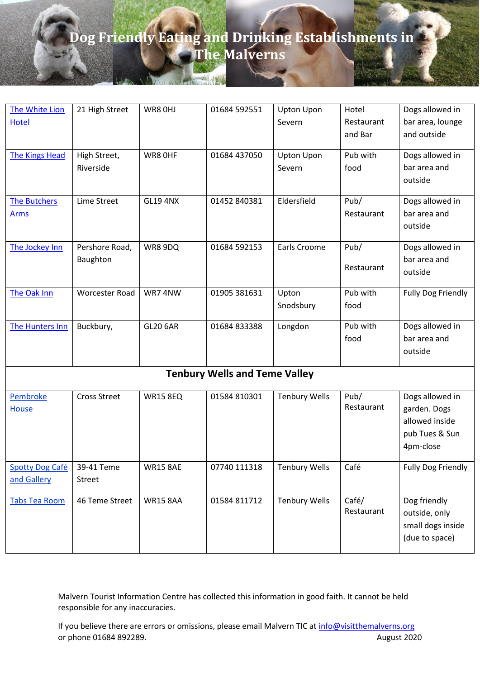| The White Lion         | 21 High Street      | WR8 OHJ         | 01684 592551                         | <b>Upton Upon</b>    | Hotel      | Dogs allowed in           |
|------------------------|---------------------|-----------------|--------------------------------------|----------------------|------------|---------------------------|
| <b>Hotel</b>           |                     |                 |                                      | Severn               | Restaurant | bar area, lounge          |
|                        |                     |                 |                                      |                      | and Bar    | and outside               |
|                        |                     |                 |                                      |                      |            |                           |
| The Kings Head         | High Street,        | WR8 OHF         | 01684 437050                         | <b>Upton Upon</b>    | Pub with   | Dogs allowed in           |
|                        | Riverside           |                 |                                      | Severn               | food       | bar area and              |
|                        |                     |                 |                                      |                      |            | outside                   |
| The Butchers           | Lime Street         | <b>GL19 4NX</b> | 01452 840381                         | Eldersfield          | Pub/       | Dogs allowed in           |
| <u>Arms</u>            |                     |                 |                                      |                      | Restaurant | bar area and              |
|                        |                     |                 |                                      |                      |            | outside                   |
|                        |                     |                 |                                      |                      |            |                           |
| The Jockey Inn         | Pershore Road,      | WR8 9DQ         | 01684 592153                         | Earls Croome         | Pub/       | Dogs allowed in           |
|                        | Baughton            |                 |                                      |                      |            | bar area and              |
|                        |                     |                 |                                      |                      | Restaurant | outside                   |
|                        |                     |                 |                                      |                      |            |                           |
| The Oak Inn            | Worcester Road      | WR7 4NW         | 01905 381631                         | Upton                | Pub with   | <b>Fully Dog Friendly</b> |
|                        |                     |                 |                                      | Snodsbury            | food       |                           |
| The Hunters Inn        | Buckbury,           | <b>GL20 6AR</b> | 01684 833388                         | Longdon              | Pub with   | Dogs allowed in           |
|                        |                     |                 |                                      |                      | food       | bar area and              |
|                        |                     |                 |                                      |                      |            | outside                   |
|                        |                     |                 |                                      |                      |            |                           |
|                        |                     |                 | <b>Tenbury Wells and Teme Valley</b> |                      |            |                           |
| Pembroke               | <b>Cross Street</b> | <b>WR15 8EQ</b> | 01584 810301                         | <b>Tenbury Wells</b> | Pub/       | Dogs allowed in           |
| <b>House</b>           |                     |                 |                                      |                      | Restaurant | garden. Dogs              |
|                        |                     |                 |                                      |                      |            | allowed inside            |
|                        |                     |                 |                                      |                      |            | pub Tues & Sun            |
|                        |                     |                 |                                      |                      |            | 4pm-close                 |
|                        |                     |                 |                                      |                      |            |                           |
| <b>Spotty Dog Café</b> | 39-41 Teme          | WR15 8AE        | 07740 111318                         | Tenbury Wells        | Café       | <b>Fully Dog Friendly</b> |
| and Gallery            | <b>Street</b>       |                 |                                      |                      |            |                           |
| <b>Tabs Tea Room</b>   | 46 Teme Street      | <b>WR15 8AA</b> | 01584 811712                         | <b>Tenbury Wells</b> | Café/      | Dog friendly              |
|                        |                     |                 |                                      |                      | Restaurant | outside, only             |
|                        |                     |                 |                                      |                      |            | small dogs inside         |
|                        |                     |                 |                                      |                      |            | (due to space)            |
|                        |                     |                 |                                      |                      |            |                           |

Malvern Tourist Information Centre has collected this information in good faith. It cannot be held responsible for any inaccuracies.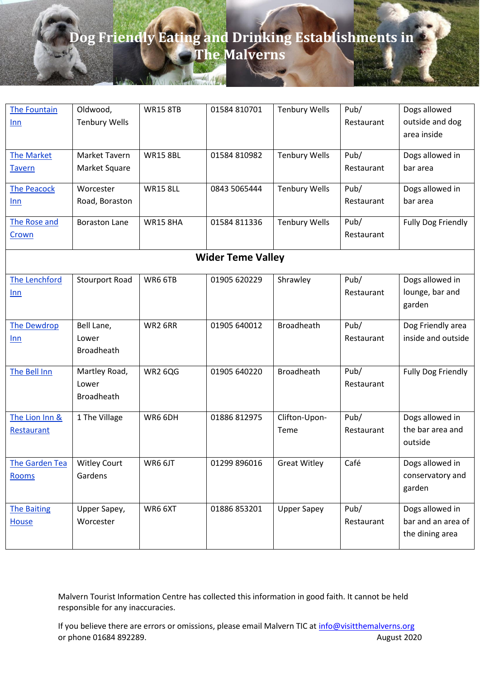| The Fountain<br>Inn                | Oldwood,<br><b>Tenbury Wells</b>            | <b>WR15 8TB</b> | 01584 810701 | <b>Tenbury Wells</b>  | Pub/<br>Restaurant | Dogs allowed<br>outside and dog<br>area inside           |  |  |  |  |
|------------------------------------|---------------------------------------------|-----------------|--------------|-----------------------|--------------------|----------------------------------------------------------|--|--|--|--|
| <b>The Market</b><br><b>Tavern</b> | Market Tavern<br>Market Square              | <b>WR15 8BL</b> | 01584 810982 | <b>Tenbury Wells</b>  | Pub/<br>Restaurant | Dogs allowed in<br>bar area                              |  |  |  |  |
| <b>The Peacock</b><br>Inn          | Worcester<br>Road, Boraston                 | <b>WR15 8LL</b> | 0843 5065444 | <b>Tenbury Wells</b>  | Pub/<br>Restaurant | Dogs allowed in<br>bar area                              |  |  |  |  |
| The Rose and<br>Crown              | <b>Boraston Lane</b>                        | <b>WR15 8HA</b> | 01584 811336 | <b>Tenbury Wells</b>  | Pub/<br>Restaurant | <b>Fully Dog Friendly</b>                                |  |  |  |  |
|                                    | <b>Wider Teme Valley</b>                    |                 |              |                       |                    |                                                          |  |  |  |  |
| The Lenchford<br>Inn               | <b>Stourport Road</b>                       | WR6 6TB         | 01905 620229 | Shrawley              | Pub/<br>Restaurant | Dogs allowed in<br>lounge, bar and<br>garden             |  |  |  |  |
| <b>The Dewdrop</b><br>Inn          | Bell Lane,<br>Lower<br><b>Broadheath</b>    | WR2 6RR         | 01905 640012 | <b>Broadheath</b>     | Pub/<br>Restaurant | Dog Friendly area<br>inside and outside                  |  |  |  |  |
| The Bell Inn                       | Martley Road,<br>Lower<br><b>Broadheath</b> | <b>WR2 6QG</b>  | 01905 640220 | Broadheath            | Pub/<br>Restaurant | Fully Dog Friendly                                       |  |  |  |  |
| The Lion Inn &<br>Restaurant       | 1 The Village                               | WR6 6DH         | 01886 812975 | Clifton-Upon-<br>Teme | Pub/<br>Restaurant | Dogs allowed in<br>the bar area and<br>outside           |  |  |  |  |
| The Garden Tea<br><b>Rooms</b>     | <b>Witley Court</b><br>Gardens              | WR6 6JT         | 01299 896016 | <b>Great Witley</b>   | Café               | Dogs allowed in<br>conservatory and<br>garden            |  |  |  |  |
| <b>The Baiting</b><br><b>House</b> | Upper Sapey,<br>Worcester                   | WR6 6XT         | 01886 853201 | <b>Upper Sapey</b>    | Pub/<br>Restaurant | Dogs allowed in<br>bar and an area of<br>the dining area |  |  |  |  |

Malvern Tourist Information Centre has collected this information in good faith. It cannot be held responsible for any inaccuracies.